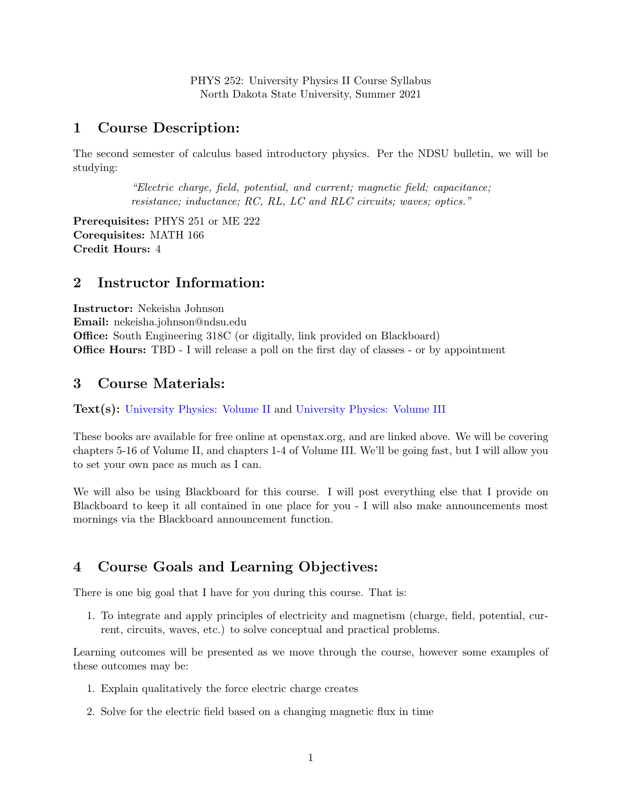PHYS 252: University Physics II Course Syllabus North Dakota State University, Summer 2021

#### 1 Course Description:

The second semester of calculus based introductory physics. Per the NDSU bulletin, we will be studying:

> "Electric charge, field, potential, and current; magnetic field; capacitance; resistance; inductance; RC, RL, LC and RLC circuits; waves; optics."

Prerequisites: PHYS 251 or ME 222 Corequisites: MATH 166 Credit Hours: 4

#### 2 Instructor Information:

Instructor: Nekeisha Johnson Email: nekeisha.johnson@ndsu.edu Office: South Engineering 318C (or digitally, link provided on Blackboard) Office Hours: TBD - I will release a poll on the first day of classes - or by appointment

### 3 Course Materials:

#### Text(s): [University Physics: Volume II](https://openstax.org/books/university-physics-volume-2/pages/1-introduction) and [University Physics: Volume III](https://openstax.org/books/university-physics-volume-3/pages/1-introduction)

These books are available for free online at openstax.org, and are linked above. We will be covering chapters 5-16 of Volume II, and chapters 1-4 of Volume III. We'll be going fast, but I will allow you to set your own pace as much as I can.

We will also be using Blackboard for this course. I will post everything else that I provide on Blackboard to keep it all contained in one place for you - I will also make announcements most mornings via the Blackboard announcement function.

## 4 Course Goals and Learning Objectives:

There is one big goal that I have for you during this course. That is:

1. To integrate and apply principles of electricity and magnetism (charge, field, potential, current, circuits, waves, etc.) to solve conceptual and practical problems.

Learning outcomes will be presented as we move through the course, however some examples of these outcomes may be:

- 1. Explain qualitatively the force electric charge creates
- 2. Solve for the electric field based on a changing magnetic flux in time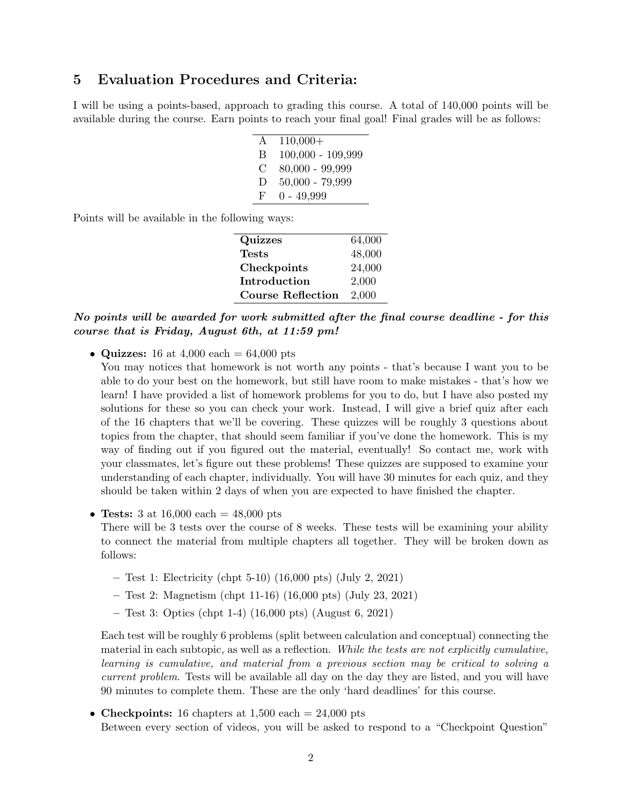#### 5 Evaluation Procedures and Criteria:

I will be using a points-based, approach to grading this course. A total of 140,000 points will be available during the course. Earn points to reach your final goal! Final grades will be as follows:

| A | $110,000+$          |
|---|---------------------|
| В | $100,000 - 109,999$ |
| € | $80,000 - 99,999$   |
| Ð | $50,000 - 79,999$   |
| F | $0 - 49,999$        |

Points will be available in the following ways:

| Quizzes                  | 64,000 |
|--------------------------|--------|
| <b>Tests</b>             | 48,000 |
| Checkpoints              | 24,000 |
| Introduction             | 2,000  |
| <b>Course Reflection</b> | 2,000  |
|                          |        |

No points will be awarded for work submitted after the final course deadline - for this course that is Friday, August 6th, at 11:59 pm!

• Quizzes: 16 at 4,000 each  $= 64,000$  pts

You may notices that homework is not worth any points - that's because I want you to be able to do your best on the homework, but still have room to make mistakes - that's how we learn! I have provided a list of homework problems for you to do, but I have also posted my solutions for these so you can check your work. Instead, I will give a brief quiz after each of the 16 chapters that we'll be covering. These quizzes will be roughly 3 questions about topics from the chapter, that should seem familiar if you've done the homework. This is my way of finding out if you figured out the material, eventually! So contact me, work with your classmates, let's figure out these problems! These quizzes are supposed to examine your understanding of each chapter, individually. You will have 30 minutes for each quiz, and they should be taken within 2 days of when you are expected to have finished the chapter.

• Tests: 3 at 16,000 each  $= 48,000$  pts

There will be 3 tests over the course of 8 weeks. These tests will be examining your ability to connect the material from multiple chapters all together. They will be broken down as follows:

- Test 1: Electricity (chpt 5-10) (16,000 pts) (July 2, 2021)
- Test 2: Magnetism (chpt 11-16) (16,000 pts) (July 23, 2021)
- Test 3: Optics (chpt 1-4) (16,000 pts) (August 6, 2021)

Each test will be roughly 6 problems (split between calculation and conceptual) connecting the material in each subtopic, as well as a reflection. While the tests are not explicitly cumulative, learning is cumulative, and material from a previous section may be critical to solving a current problem. Tests will be available all day on the day they are listed, and you will have 90 minutes to complete them. These are the only 'hard deadlines' for this course.

• Checkpoints: 16 chapters at  $1,500$  each  $= 24,000$  pts Between every section of videos, you will be asked to respond to a "Checkpoint Question"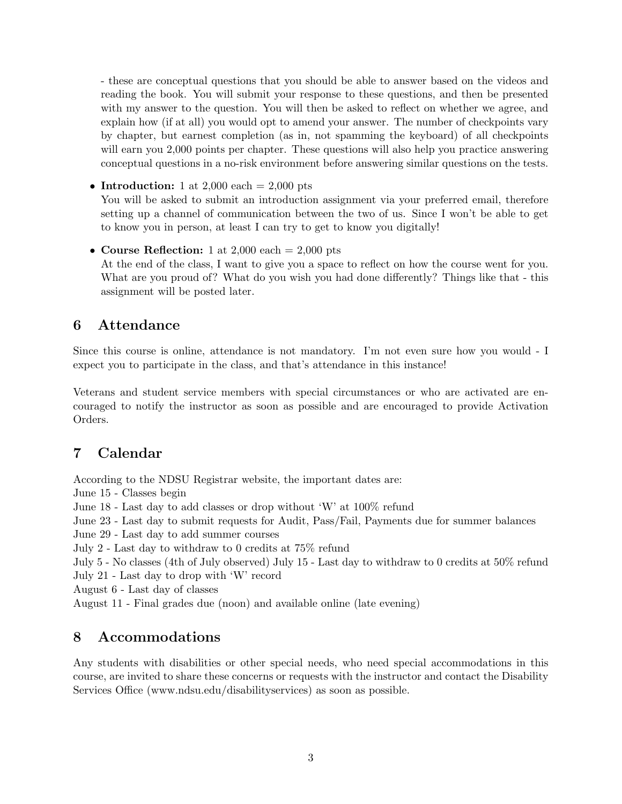- these are conceptual questions that you should be able to answer based on the videos and reading the book. You will submit your response to these questions, and then be presented with my answer to the question. You will then be asked to reflect on whether we agree, and explain how (if at all) you would opt to amend your answer. The number of checkpoints vary by chapter, but earnest completion (as in, not spamming the keyboard) of all checkpoints will earn you 2,000 points per chapter. These questions will also help you practice answering conceptual questions in a no-risk environment before answering similar questions on the tests.

• Introduction: 1 at 2,000 each  $= 2,000$  pts

You will be asked to submit an introduction assignment via your preferred email, therefore setting up a channel of communication between the two of us. Since I won't be able to get to know you in person, at least I can try to get to know you digitally!

• Course Reflection: 1 at 2,000 each = 2,000 pts At the end of the class, I want to give you a space to reflect on how the course went for you. What are you proud of? What do you wish you had done differently? Things like that - this assignment will be posted later.

## 6 Attendance

Since this course is online, attendance is not mandatory. I'm not even sure how you would - I expect you to participate in the class, and that's attendance in this instance!

Veterans and student service members with special circumstances or who are activated are encouraged to notify the instructor as soon as possible and are encouraged to provide Activation Orders.

# 7 Calendar

According to the NDSU Registrar website, the important dates are:

June 15 - Classes begin

June 18 - Last day to add classes or drop without 'W' at 100% refund

June 23 - Last day to submit requests for Audit, Pass/Fail, Payments due for summer balances

June 29 - Last day to add summer courses

July 2 - Last day to withdraw to 0 credits at 75% refund

July 5 - No classes (4th of July observed) July 15 - Last day to withdraw to 0 credits at 50% refund July 21 - Last day to drop with 'W' record

August 6 - Last day of classes

August 11 - Final grades due (noon) and available online (late evening)

## 8 Accommodations

Any students with disabilities or other special needs, who need special accommodations in this course, are invited to share these concerns or requests with the instructor and contact the Disability Services Office (www.ndsu.edu/disabilityservices) as soon as possible.